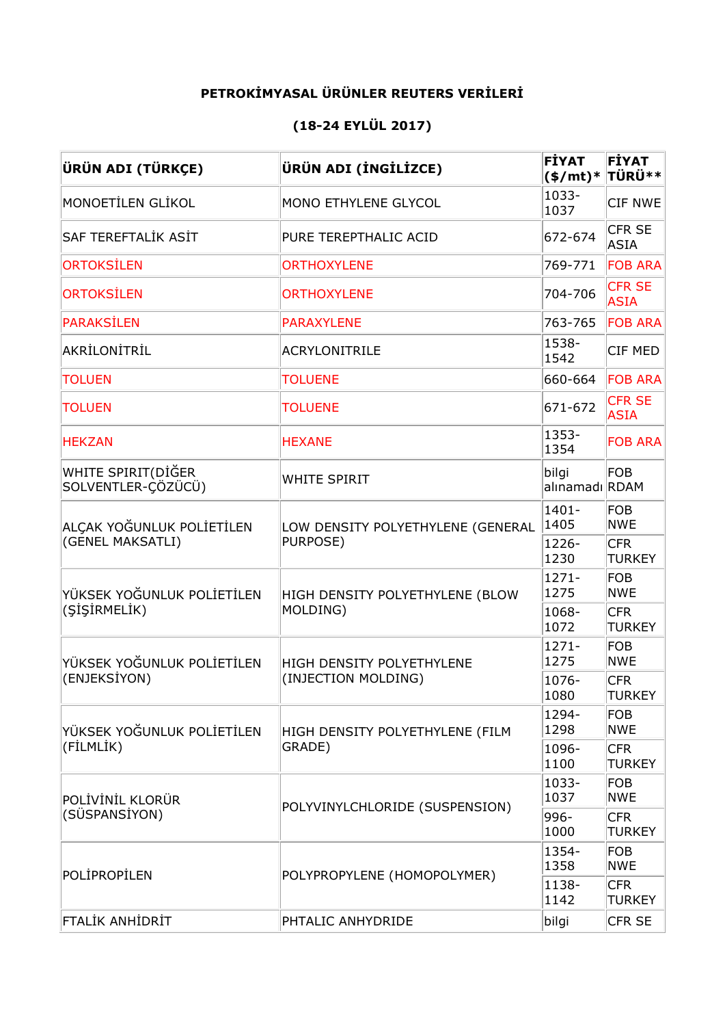## **PETROKİMYASAL ÜRÜNLER REUTERS VERİLERİ**

## **(18-24 EYLÜL 2017)**

| ÜRÜN ADI (TÜRKÇE)                             | ÜRÜN ADI (İNGİLİZCE)              | FİYAT<br>$($/mt)*$      | <b>FİYAT</b><br><b>TÜRÜ**</b> |
|-----------------------------------------------|-----------------------------------|-------------------------|-------------------------------|
| MONOETİLEN GLİKOL                             | MONO ETHYLENE GLYCOL              | 1033-<br>1037           | CIF NWE                       |
| SAF TEREFTALİK ASİT                           | PURE TEREPTHALIC ACID             | 672-674                 | CFR SE<br><b>ASIA</b>         |
| <b>ORTOKSİLEN</b>                             | <b>ORTHOXYLENE</b>                | 769-771                 | <b>FOB ARA</b>                |
| <b>ORTOKSİLEN</b>                             | <b>ORTHOXYLENE</b>                | 704-706                 | <b>CFR SE</b><br><b>ASIA</b>  |
| <b>PARAKSİLEN</b>                             | <b>PARAXYLENE</b>                 | 763-765                 | <b>FOB ARA</b>                |
| AKRİLONİTRİL                                  | <b>ACRYLONITRILE</b>              | 1538-<br>1542           | CIF MED                       |
| <b>TOLUEN</b>                                 | <b>TOLUENE</b>                    | 660-664                 | <b>FOB ARA</b>                |
| <b>TOLUEN</b>                                 | <b>TOLUENE</b>                    | 671-672                 | <b>CFR SE</b><br><b>ASIA</b>  |
| <b>HEKZAN</b>                                 | <b>HEXANE</b>                     | 1353-<br>1354           | <b>FOB ARA</b>                |
| WHITE SPIRIT(DİĞER<br>SOLVENTLER-ÇÖZÜCÜ)      | <b>WHITE SPIRIT</b>               | bilgi<br>alınamadı RDAM | <b>FOB</b>                    |
| ALÇAK YOĞUNLUK POLİETİLEN<br>(GENEL MAKSATLI) | LOW DENSITY POLYETHYLENE (GENERAL | $1401 -$<br>1405        | <b>FOB</b><br><b>NWE</b>      |
|                                               | PURPOSE)                          | 1226-<br>1230           | <b>CFR</b><br><b>TURKEY</b>   |
| YÜKSEK YOĞUNLUK POLİETİLEN<br>(SİŞİRMELİK)    | HIGH DENSITY POLYETHYLENE (BLOW   | $1271 -$<br>1275        | <b>FOB</b><br><b>NWE</b>      |
|                                               | MOLDING)                          | 1068-<br>1072           | <b>CFR</b><br><b>TURKEY</b>   |
| YÜKSEK YOĞUNLUK POLİETİLEN<br>(ENJEKSİYON)    | HIGH DENSITY POLYETHYLENE         | $1271 -$<br>1275        | FOB<br><b>NWE</b>             |
|                                               | (INJECTION MOLDING)               | 1076-<br>1080           | <b>CFR</b><br><b>TURKEY</b>   |
| YÜKSEK YOĞUNLUK POLİETİLEN<br>(FİLMLİK)       | HIGH DENSITY POLYETHYLENE (FILM   | 1294-<br>1298           | <b>FOB</b><br><b>NWE</b>      |
|                                               | GRADE)                            | 1096-<br>1100           | <b>CFR</b><br><b>TURKEY</b>   |
| POLİVİNİL KLORÜR<br>(SÜSPANSİYON)             |                                   | 1033-<br>1037           | <b>FOB</b><br><b>NWE</b>      |
|                                               | POLYVINYLCHLORIDE (SUSPENSION)    | 996-<br>1000            | <b>CFR</b><br><b>TURKEY</b>   |
| POLİPROPİLEN                                  |                                   | 1354-<br>1358           | FOB<br><b>NWE</b>             |
|                                               | POLYPROPYLENE (HOMOPOLYMER)       | 1138-<br>1142           | <b>CFR</b><br><b>TURKEY</b>   |
| FTALİK ANHİDRİT                               | PHTALIC ANHYDRIDE                 | bilgi                   | CFR SE                        |